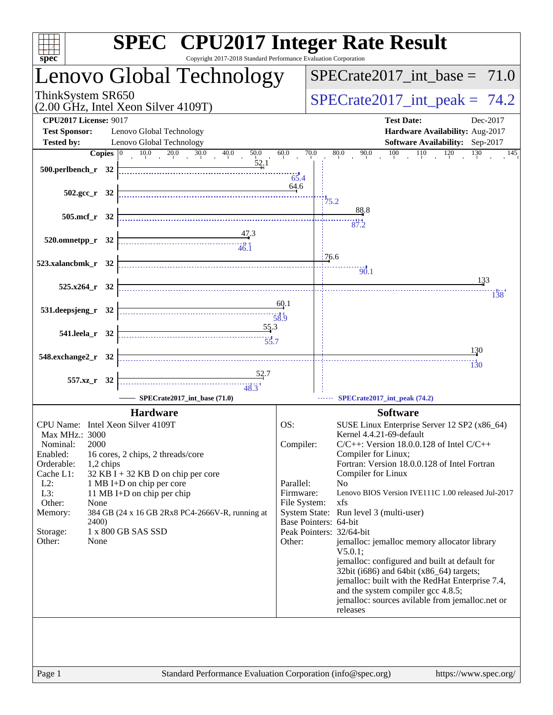| <b>SPEC<sup>®</sup></b> CPU2017 Integer Rate Result<br>Copyright 2017-2018 Standard Performance Evaluation Corporation<br>$s\overline{p}\overline{e}\overline{c}$                                                                                                                                                                                                                                                                                                                                    |              |                                                                                       |
|------------------------------------------------------------------------------------------------------------------------------------------------------------------------------------------------------------------------------------------------------------------------------------------------------------------------------------------------------------------------------------------------------------------------------------------------------------------------------------------------------|--------------|---------------------------------------------------------------------------------------|
| Lenovo Global Technology                                                                                                                                                                                                                                                                                                                                                                                                                                                                             |              | $SPECTate2017\_int\_base = 71.0$                                                      |
| ThinkSystem SR650<br>$(2.00 \text{ GHz}, \text{Intel Xeon Silver } 4109 \text{T})$                                                                                                                                                                                                                                                                                                                                                                                                                   |              | $SPECrate2017\_int\_peak = 74.2$                                                      |
| <b>CPU2017 License: 9017</b>                                                                                                                                                                                                                                                                                                                                                                                                                                                                         |              | <b>Test Date:</b><br>Dec-2017                                                         |
| <b>Test Sponsor:</b><br>Lenovo Global Technology                                                                                                                                                                                                                                                                                                                                                                                                                                                     |              | Hardware Availability: Aug-2017                                                       |
| <b>Tested by:</b><br>Lenovo Global Technology<br>40.0<br>50.0                                                                                                                                                                                                                                                                                                                                                                                                                                        | 60.0         | Software Availability: Sep-2017<br>70.0<br>80.0<br>145                                |
| $10.0$ $20.0$ $30.0$<br>Copies $ 0\rangle$<br>52,1<br>500.perlbench_r 32                                                                                                                                                                                                                                                                                                                                                                                                                             | 65.4         | $90.0$ $100$ $110$ $120$ $130$                                                        |
| $502.\text{sec}$ $r$ 32                                                                                                                                                                                                                                                                                                                                                                                                                                                                              | 64.6         | $\frac{14}{75.2}$                                                                     |
| $505.\text{mcf}_r$ 32                                                                                                                                                                                                                                                                                                                                                                                                                                                                                |              | 88.8                                                                                  |
|                                                                                                                                                                                                                                                                                                                                                                                                                                                                                                      |              | 87.2                                                                                  |
| $\begin{array}{c}\n 47.3 \\  +47.3 \\  \hline\n 46.1\n \end{array}$<br>$520.0$ mnetpp_r $32$                                                                                                                                                                                                                                                                                                                                                                                                         |              |                                                                                       |
| 523.xalancbmk_r 32                                                                                                                                                                                                                                                                                                                                                                                                                                                                                   |              | 176.6                                                                                 |
|                                                                                                                                                                                                                                                                                                                                                                                                                                                                                                      |              | $\frac{1}{90.1}$<br>133                                                               |
| $525.x264_r$ 32                                                                                                                                                                                                                                                                                                                                                                                                                                                                                      |              | 138                                                                                   |
|                                                                                                                                                                                                                                                                                                                                                                                                                                                                                                      | 60.1         |                                                                                       |
| 531.deepsjeng_r 32                                                                                                                                                                                                                                                                                                                                                                                                                                                                                   | 58.9         |                                                                                       |
| 55.3<br>541.leela_r 32                                                                                                                                                                                                                                                                                                                                                                                                                                                                               |              |                                                                                       |
|                                                                                                                                                                                                                                                                                                                                                                                                                                                                                                      |              | <u>130</u>                                                                            |
| 548.exchange2_r 32                                                                                                                                                                                                                                                                                                                                                                                                                                                                                   |              | $\frac{11}{130}$                                                                      |
| $\begin{array}{c}\n\overbrace{\hspace{1cm}}\hspace{1cm} \overbrace{\hspace{1cm}}\hspace{1cm} \overbrace{\hspace{1cm}}\hspace{1cm} \overbrace{\hspace{1cm}}\hspace{1cm} \overbrace{\hspace{1cm}}\hspace{1cm} \overbrace{\hspace{1cm}}\hspace{1cm} \overbrace{\hspace{1cm}}\hspace{1cm} \overbrace{\hspace{1cm}}\hspace{1cm} \overbrace{\hspace{1cm}}\hspace{1cm} \overbrace{\hspace{1cm}}\hspace{1cm} \overbrace{\hspace{1cm}}\hspace{1cm} \overbrace{\hspace{1cm}}\hspace{1cm} \overbrace{\hspace{1$ |              |                                                                                       |
| 557.xz_r 32                                                                                                                                                                                                                                                                                                                                                                                                                                                                                          |              |                                                                                       |
| SPECrate2017_int_base (71.0)                                                                                                                                                                                                                                                                                                                                                                                                                                                                         |              | SPECrate2017_int_peak (74.2)                                                          |
| <b>Hardware</b>                                                                                                                                                                                                                                                                                                                                                                                                                                                                                      |              | <b>Software</b>                                                                       |
| CPU Name: Intel Xeon Silver 4109T<br>Max MHz.: 3000                                                                                                                                                                                                                                                                                                                                                                                                                                                  | OS:          | SUSE Linux Enterprise Server 12 SP2 (x86_64)<br>Kernel 4.4.21-69-default              |
| 2000<br>Nominal:                                                                                                                                                                                                                                                                                                                                                                                                                                                                                     | Compiler:    | $C/C++$ : Version 18.0.0.128 of Intel $C/C++$                                         |
| Enabled:<br>16 cores, 2 chips, 2 threads/core                                                                                                                                                                                                                                                                                                                                                                                                                                                        |              | Compiler for Linux;                                                                   |
| Orderable:<br>1,2 chips                                                                                                                                                                                                                                                                                                                                                                                                                                                                              |              | Fortran: Version 18.0.0.128 of Intel Fortran                                          |
| Cache L1:<br>32 KB I + 32 KB D on chip per core<br>$L2$ :<br>1 MB I+D on chip per core                                                                                                                                                                                                                                                                                                                                                                                                               | Parallel:    | Compiler for Linux<br>N <sub>0</sub>                                                  |
| L3:<br>11 MB I+D on chip per chip                                                                                                                                                                                                                                                                                                                                                                                                                                                                    | Firmware:    | Lenovo BIOS Version IVE111C 1.00 released Jul-2017                                    |
| Other:<br>None                                                                                                                                                                                                                                                                                                                                                                                                                                                                                       | File System: | xfs                                                                                   |
| Memory:<br>384 GB (24 x 16 GB 2Rx8 PC4-2666V-R, running at<br><b>2400</b> )                                                                                                                                                                                                                                                                                                                                                                                                                          |              | System State: Run level 3 (multi-user)<br>Base Pointers: 64-bit                       |
| 1 x 800 GB SAS SSD<br>Storage:                                                                                                                                                                                                                                                                                                                                                                                                                                                                       |              | Peak Pointers: 32/64-bit                                                              |
| Other:<br>None                                                                                                                                                                                                                                                                                                                                                                                                                                                                                       | Other:       | jemalloc: jemalloc memory allocator library                                           |
|                                                                                                                                                                                                                                                                                                                                                                                                                                                                                                      |              | V5.0.1<br>jemalloc: configured and built at default for                               |
|                                                                                                                                                                                                                                                                                                                                                                                                                                                                                                      |              | 32bit (i686) and 64bit (x86_64) targets;                                              |
|                                                                                                                                                                                                                                                                                                                                                                                                                                                                                                      |              | jemalloc: built with the RedHat Enterprise 7.4,                                       |
|                                                                                                                                                                                                                                                                                                                                                                                                                                                                                                      |              | and the system compiler gcc 4.8.5;<br>jemalloc: sources avilable from jemalloc.net or |
|                                                                                                                                                                                                                                                                                                                                                                                                                                                                                                      |              | releases                                                                              |
|                                                                                                                                                                                                                                                                                                                                                                                                                                                                                                      |              |                                                                                       |
|                                                                                                                                                                                                                                                                                                                                                                                                                                                                                                      |              |                                                                                       |
|                                                                                                                                                                                                                                                                                                                                                                                                                                                                                                      |              |                                                                                       |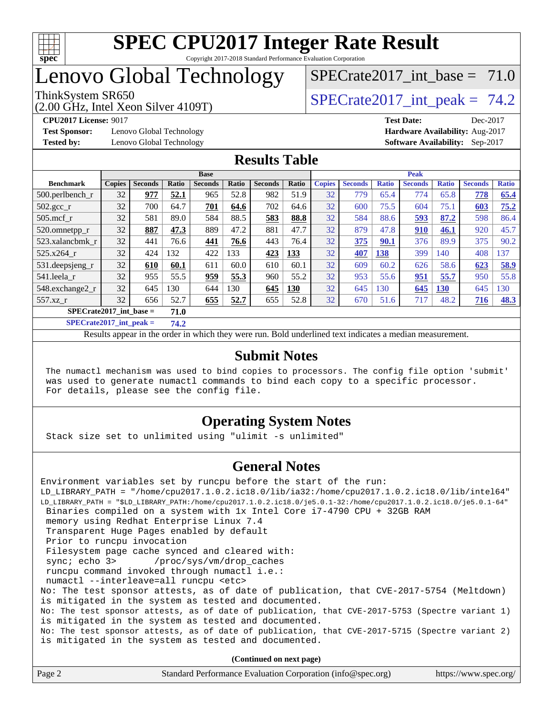

## Lenovo Global Technology

(2.00 GHz, Intel Xeon Silver 4109T)

ThinkSystem SR650<br>  $SPECTR_{12}$  SPECrate2017 int peak = 74.2 SPECrate2017 int\_base =  $71.0$ 

**[Test Sponsor:](http://www.spec.org/auto/cpu2017/Docs/result-fields.html#TestSponsor)** Lenovo Global Technology **[Hardware Availability:](http://www.spec.org/auto/cpu2017/Docs/result-fields.html#HardwareAvailability)** Aug-2017 **[Tested by:](http://www.spec.org/auto/cpu2017/Docs/result-fields.html#Testedby)** Lenovo Global Technology **[Software Availability:](http://www.spec.org/auto/cpu2017/Docs/result-fields.html#SoftwareAvailability)** Sep-2017

**[CPU2017 License:](http://www.spec.org/auto/cpu2017/Docs/result-fields.html#CPU2017License)** 9017 **[Test Date:](http://www.spec.org/auto/cpu2017/Docs/result-fields.html#TestDate)** Dec-2017

#### **[Results Table](http://www.spec.org/auto/cpu2017/Docs/result-fields.html#ResultsTable)**

|                           |               |                |       | <b>Base</b>    |       |                |              |               |                |              | <b>Peak</b>    |              |                |              |
|---------------------------|---------------|----------------|-------|----------------|-------|----------------|--------------|---------------|----------------|--------------|----------------|--------------|----------------|--------------|
| <b>Benchmark</b>          | <b>Copies</b> | <b>Seconds</b> | Ratio | <b>Seconds</b> | Ratio | <b>Seconds</b> | <b>Ratio</b> | <b>Copies</b> | <b>Seconds</b> | <b>Ratio</b> | <b>Seconds</b> | <b>Ratio</b> | <b>Seconds</b> | <b>Ratio</b> |
| $500$ .perlbench r        | 32            | 977            | 52.1  | 965            | 52.8  | 982            | 51.9         | 32            | 779            | 65.4         | 774            | 65.8         | 778            | 65.4         |
| 502.gcc_r                 | 32            | 700            | 64.7  | 701            | 64.6  | 702            | 64.6         | 32            | 600            | 75.5         | 604            | 75.1         | 603            | 75.2         |
| $505$ .mcf r              | 32            | 581            | 89.0  | 584            | 88.5  | 583            | 88.8         | 32            | 584            | 88.6         | 593            | 87.2         | 598            | 86.4         |
| 520.omnetpp_r             | 32            | 887            | 47.3  | 889            | 47.2  | 881            | 47.7         | 32            | 879            | 47.8         | 910            | 46.1         | 920            | 45.7         |
| 523.xalancbmk r           | 32            | 441            | 76.6  | 441            | 76.6  | 443            | 76.4         | 32            | 375            | 90.1         | 376            | 89.9         | 375            | 90.2         |
| 525.x264 r                | 32            | 424            | 132   | 422            | 133   | 423            | 133          | 32            | 407            | 138          | 399            | 140          | 408            | 137          |
| 531.deepsjeng_r           | 32            | 610            | 60.1  | 611            | 60.0  | 610            | 60.1         | 32            | 609            | 60.2         | 626            | 58.6         | 623            | 58.9         |
| 541.leela r               | 32            | 955            | 55.5  | 959            | 55.3  | 960            | 55.2         | 32            | 953            | 55.6         | 951            | 55.7         | 950            | 55.8         |
| 548.exchange2 r           | 32            | 645            | 130   | 644            | 130   | 645            | 130          | 32            | 645            | 130          | 645            | <b>130</b>   | 645            | 130          |
| 557.xz r                  | 32            | 656            | 52.7  | 655            | 52.7  | 655            | 52.8         | 32            | 670            | 51.6         | 717            | 48.2         | 716            | 48.3         |
| $SPECrate2017$ int base = |               |                | 71.0  |                |       |                |              |               |                |              |                |              |                |              |

**[SPECrate2017\\_int\\_peak =](http://www.spec.org/auto/cpu2017/Docs/result-fields.html#SPECrate2017intpeak) 74.2**

Results appear in the [order in which they were run.](http://www.spec.org/auto/cpu2017/Docs/result-fields.html#RunOrder) Bold underlined text [indicates a median measurement.](http://www.spec.org/auto/cpu2017/Docs/result-fields.html#Median)

#### **[Submit Notes](http://www.spec.org/auto/cpu2017/Docs/result-fields.html#SubmitNotes)**

 The numactl mechanism was used to bind copies to processors. The config file option 'submit' was used to generate numactl commands to bind each copy to a specific processor. For details, please see the config file.

### **[Operating System Notes](http://www.spec.org/auto/cpu2017/Docs/result-fields.html#OperatingSystemNotes)**

Stack size set to unlimited using "ulimit -s unlimited"

#### **[General Notes](http://www.spec.org/auto/cpu2017/Docs/result-fields.html#GeneralNotes)**

Environment variables set by runcpu before the start of the run: LD\_LIBRARY\_PATH = "/home/cpu2017.1.0.2.ic18.0/lib/ia32:/home/cpu2017.1.0.2.ic18.0/lib/intel64" LD\_LIBRARY\_PATH = "\$LD\_LIBRARY\_PATH:/home/cpu2017.1.0.2.ic18.0/je5.0.1-32:/home/cpu2017.1.0.2.ic18.0/je5.0.1-64" Binaries compiled on a system with 1x Intel Core i7-4790 CPU + 32GB RAM memory using Redhat Enterprise Linux 7.4 Transparent Huge Pages enabled by default Prior to runcpu invocation Filesystem page cache synced and cleared with: sync; echo 3> /proc/sys/vm/drop\_caches runcpu command invoked through numactl i.e.: numactl --interleave=all runcpu <etc> No: The test sponsor attests, as of date of publication, that CVE-2017-5754 (Meltdown) is mitigated in the system as tested and documented. No: The test sponsor attests, as of date of publication, that CVE-2017-5753 (Spectre variant 1) is mitigated in the system as tested and documented. No: The test sponsor attests, as of date of publication, that CVE-2017-5715 (Spectre variant 2) is mitigated in the system as tested and documented.

**(Continued on next page)**

| Page 2 | Standard Performance Evaluation Corporation (info@spec.org) | https://www.spec.org/ |
|--------|-------------------------------------------------------------|-----------------------|
|--------|-------------------------------------------------------------|-----------------------|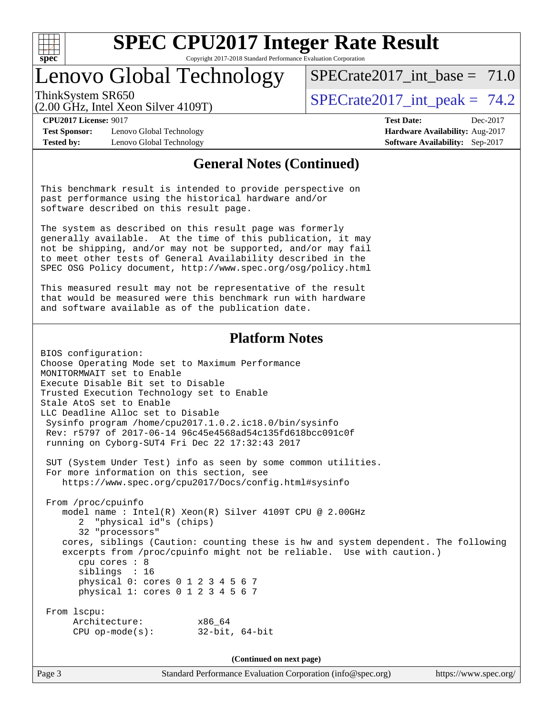

Copyright 2017-2018 Standard Performance Evaluation Corporation

### Lenovo Global Technology

SPECrate2017 int\_base =  $71.0$ 

(2.00 GHz, Intel Xeon Silver 4109T)

ThinkSystem SR650<br>  $SPECTR_{12}$  SPECrate2017 int peak = 74.2

**[CPU2017 License:](http://www.spec.org/auto/cpu2017/Docs/result-fields.html#CPU2017License)** 9017 **[Test Date:](http://www.spec.org/auto/cpu2017/Docs/result-fields.html#TestDate)** Dec-2017

**[Test Sponsor:](http://www.spec.org/auto/cpu2017/Docs/result-fields.html#TestSponsor)** Lenovo Global Technology **[Hardware Availability:](http://www.spec.org/auto/cpu2017/Docs/result-fields.html#HardwareAvailability)** Aug-2017 **[Tested by:](http://www.spec.org/auto/cpu2017/Docs/result-fields.html#Testedby)** Lenovo Global Technology **[Software Availability:](http://www.spec.org/auto/cpu2017/Docs/result-fields.html#SoftwareAvailability)** Sep-2017

#### **[General Notes \(Continued\)](http://www.spec.org/auto/cpu2017/Docs/result-fields.html#GeneralNotes)**

This benchmark result is intended to provide perspective on past performance using the historical hardware and/or software described on this result page.

The system as described on this result page was formerly generally available. At the time of this publication, it may not be shipping, and/or may not be supported, and/or may fail to meet other tests of General Availability described in the SPEC OSG Policy document, <http://www.spec.org/osg/policy.html>

This measured result may not be representative of the result that would be measured were this benchmark run with hardware and software available as of the publication date.

#### **[Platform Notes](http://www.spec.org/auto/cpu2017/Docs/result-fields.html#PlatformNotes)**

BIOS configuration: Choose Operating Mode set to Maximum Performance MONITORMWAIT set to Enable Execute Disable Bit set to Disable Trusted Execution Technology set to Enable Stale AtoS set to Enable LLC Deadline Alloc set to Disable Sysinfo program /home/cpu2017.1.0.2.ic18.0/bin/sysinfo Rev: r5797 of 2017-06-14 96c45e4568ad54c135fd618bcc091c0f running on Cyborg-SUT4 Fri Dec 22 17:32:43 2017

 SUT (System Under Test) info as seen by some common utilities. For more information on this section, see <https://www.spec.org/cpu2017/Docs/config.html#sysinfo>

 From /proc/cpuinfo model name : Intel(R) Xeon(R) Silver 4109T CPU @ 2.00GHz 2 "physical id"s (chips) 32 "processors" cores, siblings (Caution: counting these is hw and system dependent. The following excerpts from /proc/cpuinfo might not be reliable. Use with caution.) cpu cores : 8 siblings : 16 physical 0: cores 0 1 2 3 4 5 6 7 physical 1: cores 0 1 2 3 4 5 6 7 From lscpu: Architecture: x86\_64 CPU op-mode(s): 32-bit, 64-bit

**(Continued on next page)**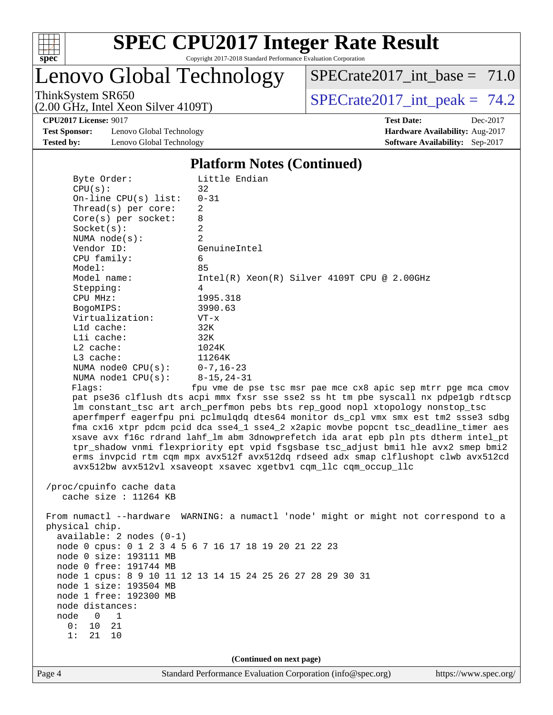

Lenovo Global Technology

ThinkSystem SR650<br>  $(2.00 \text{ GHz. Intel Year } 4109 \text{T})$  [SPECrate2017\\_int\\_peak =](http://www.spec.org/auto/cpu2017/Docs/result-fields.html#SPECrate2017intpeak) 74.2  $SPECTate2017\_int\_base = 71.0$ 

(2.00 GHz, Intel Xeon Silver 4109T)

**[Test Sponsor:](http://www.spec.org/auto/cpu2017/Docs/result-fields.html#TestSponsor)** Lenovo Global Technology **[Hardware Availability:](http://www.spec.org/auto/cpu2017/Docs/result-fields.html#HardwareAvailability)** Aug-2017 **[Tested by:](http://www.spec.org/auto/cpu2017/Docs/result-fields.html#Testedby)** Lenovo Global Technology **[Software Availability:](http://www.spec.org/auto/cpu2017/Docs/result-fields.html#SoftwareAvailability)** Sep-2017

**[CPU2017 License:](http://www.spec.org/auto/cpu2017/Docs/result-fields.html#CPU2017License)** 9017 **[Test Date:](http://www.spec.org/auto/cpu2017/Docs/result-fields.html#TestDate)** Dec-2017

#### **[Platform Notes \(Continued\)](http://www.spec.org/auto/cpu2017/Docs/result-fields.html#PlatformNotes)**

| Byte Order:<br>CPU(s):   | Little Endian<br>32                                                                  |                       |
|--------------------------|--------------------------------------------------------------------------------------|-----------------------|
| On-line $CPU(s)$ list:   | $0 - 31$                                                                             |                       |
| Thread(s) per core:      | 2                                                                                    |                       |
| $Core(s)$ per socket:    | 8                                                                                    |                       |
| Socket(s):               | $\overline{a}$                                                                       |                       |
| NUMA $node(s):$          | 2                                                                                    |                       |
| Vendor ID:               | GenuineIntel                                                                         |                       |
| CPU family:              | 6                                                                                    |                       |
| Model:                   | 85                                                                                   |                       |
| Model name:              | $Intel(R) Xeon(R) Silver 4109T CPU @ 2.00GHz$                                        |                       |
| Stepping:                | 4                                                                                    |                       |
| CPU MHz:                 | 1995.318                                                                             |                       |
| BogoMIPS:                | 3990.63                                                                              |                       |
| Virtualization:          | $VT - x$                                                                             |                       |
| L1d cache:               | 32K                                                                                  |                       |
| Lli cache:               | 32K                                                                                  |                       |
| $L2$ cache:              | 1024K                                                                                |                       |
| L3 cache:                | 11264K                                                                               |                       |
| NUMA $node0$ $CPU(s):$   | $0 - 7, 16 - 23$                                                                     |                       |
| NUMA nodel $CPU(s):$     | $8 - 15, 24 - 31$                                                                    |                       |
| Flags:                   | fpu vme de pse tsc msr pae mce cx8 apic sep mtrr pge mca cmov                        |                       |
|                          | pat pse36 clflush dts acpi mmx fxsr sse sse2 ss ht tm pbe syscall nx pdpelgb rdtscp  |                       |
|                          | lm constant_tsc art arch_perfmon pebs bts rep_good nopl xtopology nonstop_tsc        |                       |
|                          | aperfmperf eagerfpu pni pclmulqdq dtes64 monitor ds_cpl vmx smx est tm2 ssse3 sdbg   |                       |
|                          | fma cx16 xtpr pdcm pcid dca sse4_1 sse4_2 x2apic movbe popcnt tsc_deadline_timer aes |                       |
|                          | xsave avx f16c rdrand lahf_lm abm 3dnowprefetch ida arat epb pln pts dtherm intel_pt |                       |
|                          | tpr_shadow vnmi flexpriority ept vpid fsgsbase tsc_adjust bmil hle avx2 smep bmi2    |                       |
|                          | erms invpcid rtm cqm mpx avx512f avx512dq rdseed adx smap clflushopt clwb avx512cd   |                       |
|                          | avx512bw avx512vl xsaveopt xsavec xgetbvl cqm_llc cqm_occup_llc                      |                       |
|                          |                                                                                      |                       |
| /proc/cpuinfo cache data |                                                                                      |                       |
| cache size : $11264$ KB  |                                                                                      |                       |
|                          |                                                                                      |                       |
|                          | From numactl --hardware WARNING: a numactl 'node' might or might not correspond to a |                       |
| physical chip.           |                                                                                      |                       |
| available: 2 nodes (0-1) |                                                                                      |                       |
|                          | node 0 cpus: 0 1 2 3 4 5 6 7 16 17 18 19 20 21 22 23                                 |                       |
| node 0 size: 193111 MB   |                                                                                      |                       |
| node 0 free: 191744 MB   |                                                                                      |                       |
|                          | node 1 cpus: 8 9 10 11 12 13 14 15 24 25 26 27 28 29 30 31                           |                       |
| node 1 size: 193504 MB   |                                                                                      |                       |
| node 1 free: 192300 MB   |                                                                                      |                       |
| node distances:          |                                                                                      |                       |
| 0<br>node<br>1           |                                                                                      |                       |
| 21<br>0 :<br>10          |                                                                                      |                       |
| 1:<br>21<br>10           |                                                                                      |                       |
|                          |                                                                                      |                       |
|                          | (Continued on next page)                                                             |                       |
|                          |                                                                                      |                       |
| Page 4                   | Standard Performance Evaluation Corporation (info@spec.org)                          | https://www.spec.org/ |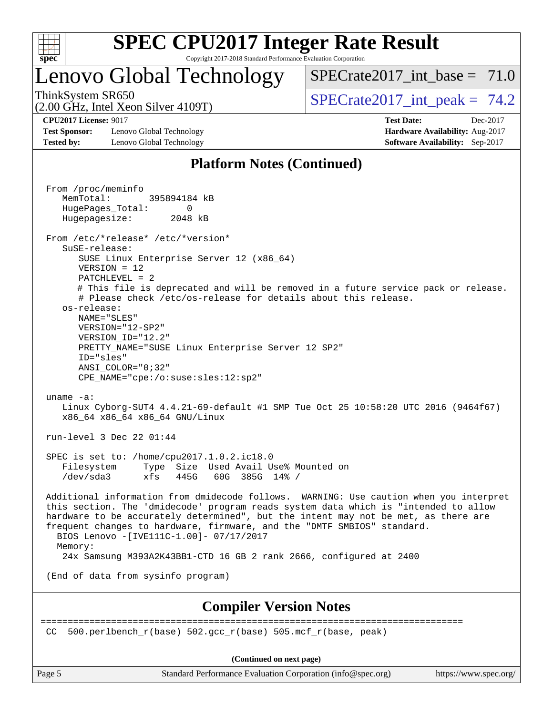

### Lenovo Global Technology

SPECrate2017 int\_base =  $71.0$ 

(2.00 GHz, Intel Xeon Silver 4109T)

ThinkSystem SR650<br>  $SPECTR_{12}$  SPECrate2017 int peak = 74.2

**[Test Sponsor:](http://www.spec.org/auto/cpu2017/Docs/result-fields.html#TestSponsor)** Lenovo Global Technology **[Hardware Availability:](http://www.spec.org/auto/cpu2017/Docs/result-fields.html#HardwareAvailability)** Aug-2017 **[Tested by:](http://www.spec.org/auto/cpu2017/Docs/result-fields.html#Testedby)** Lenovo Global Technology **[Software Availability:](http://www.spec.org/auto/cpu2017/Docs/result-fields.html#SoftwareAvailability)** Sep-2017

**[CPU2017 License:](http://www.spec.org/auto/cpu2017/Docs/result-fields.html#CPU2017License)** 9017 **[Test Date:](http://www.spec.org/auto/cpu2017/Docs/result-fields.html#TestDate)** Dec-2017

### **[Platform Notes \(Continued\)](http://www.spec.org/auto/cpu2017/Docs/result-fields.html#PlatformNotes)**

 From /proc/meminfo MemTotal: 395894184 kB HugePages\_Total: 0 Hugepagesize: 2048 kB From /etc/\*release\* /etc/\*version\* SuSE-release: SUSE Linux Enterprise Server 12 (x86\_64) VERSION = 12 PATCHLEVEL = 2 # This file is deprecated and will be removed in a future service pack or release. # Please check /etc/os-release for details about this release. os-release: NAME="SLES" VERSION="12-SP2" VERSION\_ID="12.2" PRETTY\_NAME="SUSE Linux Enterprise Server 12 SP2" ID="sles" ANSI\_COLOR="0;32" CPE\_NAME="cpe:/o:suse:sles:12:sp2" uname -a: Linux Cyborg-SUT4 4.4.21-69-default #1 SMP Tue Oct 25 10:58:20 UTC 2016 (9464f67) x86\_64 x86\_64 x86\_64 GNU/Linux run-level 3 Dec 22 01:44 SPEC is set to: /home/cpu2017.1.0.2.ic18.0 Filesystem Type Size Used Avail Use% Mounted on /dev/sda3 xfs 445G 60G 385G 14% / Additional information from dmidecode follows. WARNING: Use caution when you interpret this section. The 'dmidecode' program reads system data which is "intended to allow hardware to be accurately determined", but the intent may not be met, as there are frequent changes to hardware, firmware, and the "DMTF SMBIOS" standard. BIOS Lenovo -[IVE111C-1.00]- 07/17/2017 Memory: 24x Samsung M393A2K43BB1-CTD 16 GB 2 rank 2666, configured at 2400 (End of data from sysinfo program) **[Compiler Version Notes](http://www.spec.org/auto/cpu2017/Docs/result-fields.html#CompilerVersionNotes)** ============================================================================== CC 500.perlbench  $r(base)$  502.gcc  $r(base)$  505.mcf  $r(base, peak)$ 

**(Continued on next page)**

Page 5 Standard Performance Evaluation Corporation [\(info@spec.org\)](mailto:info@spec.org) <https://www.spec.org/>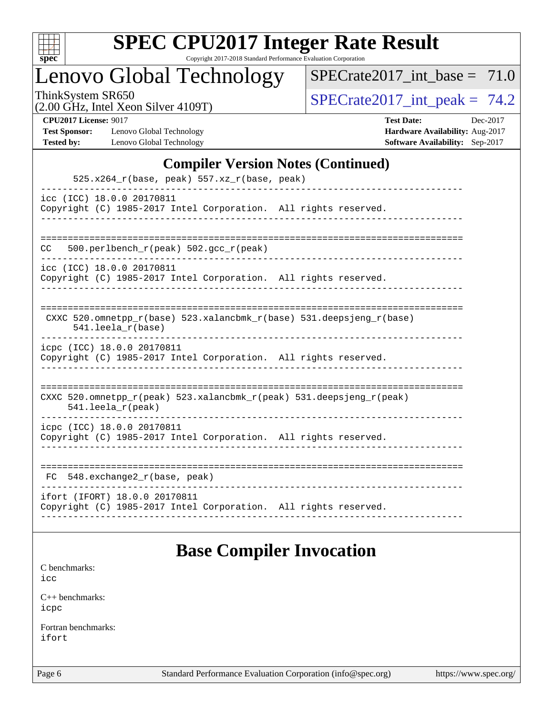

Copyright 2017-2018 Standard Performance Evaluation Corporation

Lenovo Global Technology

 $SPECTate2017\_int\_base = 71.0$ 

(2.00 GHz, Intel Xeon Silver 4109T)

ThinkSystem SR650<br>(2.00 GHz, Intel Year Silver 4109T)  $\begin{array}{r} | \text{SPECrate2017\_int\_peak} = 74.2 \end{array}$ 

**[Test Sponsor:](http://www.spec.org/auto/cpu2017/Docs/result-fields.html#TestSponsor)** Lenovo Global Technology **[Hardware Availability:](http://www.spec.org/auto/cpu2017/Docs/result-fields.html#HardwareAvailability)** Aug-2017 **[Tested by:](http://www.spec.org/auto/cpu2017/Docs/result-fields.html#Testedby)** Lenovo Global Technology **[Software Availability:](http://www.spec.org/auto/cpu2017/Docs/result-fields.html#SoftwareAvailability)** Sep-2017

**[CPU2017 License:](http://www.spec.org/auto/cpu2017/Docs/result-fields.html#CPU2017License)** 9017 **[Test Date:](http://www.spec.org/auto/cpu2017/Docs/result-fields.html#TestDate)** Dec-2017

#### **[Compiler Version Notes \(Continued\)](http://www.spec.org/auto/cpu2017/Docs/result-fields.html#CompilerVersionNotes)**

| $525.x264_r(base, peak) 557.xz_r(base, peak)$                                                                              |
|----------------------------------------------------------------------------------------------------------------------------|
| icc (ICC) 18.0.0 20170811<br>Copyright (C) 1985-2017 Intel Corporation. All rights reserved.                               |
| 500.perlbench_r(peak) 502.gcc_r(peak)<br>CC.                                                                               |
| icc (ICC) 18.0.0 20170811<br>Copyright (C) 1985-2017 Intel Corporation. All rights reserved.                               |
| CXXC 520.omnetpp $r(base)$ 523.xalancbmk $r(base)$ 531.deepsjeng $r(base)$<br>$541.$ leela_r(base)                         |
| icpc (ICC) 18.0.0 20170811<br>Copyright (C) 1985-2017 Intel Corporation. All rights reserved.                              |
| CXXC 520.omnetpp $r(\text{peak})$ 523.xalancbmk $r(\text{peak})$ 531.deepsjeng $r(\text{peak})$<br>$541.$ leela $r$ (peak) |
| icpc (ICC) 18.0.0 20170811<br>Copyright (C) 1985-2017 Intel Corporation. All rights reserved.                              |
| $548$ . exchange2 $r(base, peak)$<br>FC                                                                                    |
| ifort (IFORT) 18.0.0 20170811<br>Copyright (C) 1985-2017 Intel Corporation. All rights reserved.                           |

### **[Base Compiler Invocation](http://www.spec.org/auto/cpu2017/Docs/result-fields.html#BaseCompilerInvocation)**

[C benchmarks](http://www.spec.org/auto/cpu2017/Docs/result-fields.html#Cbenchmarks): [icc](http://www.spec.org/cpu2017/results/res2018q1/cpu2017-20180105-02449.flags.html#user_CCbase_intel_icc_18.0_66fc1ee009f7361af1fbd72ca7dcefbb700085f36577c54f309893dd4ec40d12360134090235512931783d35fd58c0460139e722d5067c5574d8eaf2b3e37e92)

[C++ benchmarks:](http://www.spec.org/auto/cpu2017/Docs/result-fields.html#CXXbenchmarks) [icpc](http://www.spec.org/cpu2017/results/res2018q1/cpu2017-20180105-02449.flags.html#user_CXXbase_intel_icpc_18.0_c510b6838c7f56d33e37e94d029a35b4a7bccf4766a728ee175e80a419847e808290a9b78be685c44ab727ea267ec2f070ec5dc83b407c0218cded6866a35d07)

[Fortran benchmarks](http://www.spec.org/auto/cpu2017/Docs/result-fields.html#Fortranbenchmarks): [ifort](http://www.spec.org/cpu2017/results/res2018q1/cpu2017-20180105-02449.flags.html#user_FCbase_intel_ifort_18.0_8111460550e3ca792625aed983ce982f94888b8b503583aa7ba2b8303487b4d8a21a13e7191a45c5fd58ff318f48f9492884d4413fa793fd88dd292cad7027ca)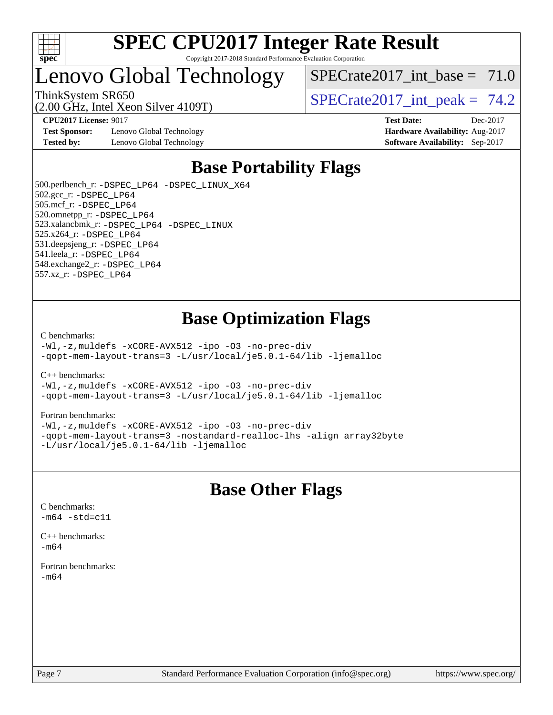

### Lenovo Global Technology

(2.00 GHz, Intel Xeon Silver 4109T)

SPECrate2017 int\_base =  $71.0$ 

ThinkSystem SR650<br>  $SPECTR_{12}$  SPECrate2017 int peak = 74.2

**[Test Sponsor:](http://www.spec.org/auto/cpu2017/Docs/result-fields.html#TestSponsor)** Lenovo Global Technology **[Hardware Availability:](http://www.spec.org/auto/cpu2017/Docs/result-fields.html#HardwareAvailability)** Aug-2017 **[Tested by:](http://www.spec.org/auto/cpu2017/Docs/result-fields.html#Testedby)** Lenovo Global Technology **[Software Availability:](http://www.spec.org/auto/cpu2017/Docs/result-fields.html#SoftwareAvailability)** Sep-2017

**[CPU2017 License:](http://www.spec.org/auto/cpu2017/Docs/result-fields.html#CPU2017License)** 9017 **[Test Date:](http://www.spec.org/auto/cpu2017/Docs/result-fields.html#TestDate)** Dec-2017

### **[Base Portability Flags](http://www.spec.org/auto/cpu2017/Docs/result-fields.html#BasePortabilityFlags)**

 500.perlbench\_r: [-DSPEC\\_LP64](http://www.spec.org/cpu2017/results/res2018q1/cpu2017-20180105-02449.flags.html#b500.perlbench_r_basePORTABILITY_DSPEC_LP64) [-DSPEC\\_LINUX\\_X64](http://www.spec.org/cpu2017/results/res2018q1/cpu2017-20180105-02449.flags.html#b500.perlbench_r_baseCPORTABILITY_DSPEC_LINUX_X64) 502.gcc\_r: [-DSPEC\\_LP64](http://www.spec.org/cpu2017/results/res2018q1/cpu2017-20180105-02449.flags.html#suite_basePORTABILITY502_gcc_r_DSPEC_LP64) 505.mcf\_r: [-DSPEC\\_LP64](http://www.spec.org/cpu2017/results/res2018q1/cpu2017-20180105-02449.flags.html#suite_basePORTABILITY505_mcf_r_DSPEC_LP64) 520.omnetpp\_r: [-DSPEC\\_LP64](http://www.spec.org/cpu2017/results/res2018q1/cpu2017-20180105-02449.flags.html#suite_basePORTABILITY520_omnetpp_r_DSPEC_LP64) 523.xalancbmk\_r: [-DSPEC\\_LP64](http://www.spec.org/cpu2017/results/res2018q1/cpu2017-20180105-02449.flags.html#suite_basePORTABILITY523_xalancbmk_r_DSPEC_LP64) [-DSPEC\\_LINUX](http://www.spec.org/cpu2017/results/res2018q1/cpu2017-20180105-02449.flags.html#b523.xalancbmk_r_baseCXXPORTABILITY_DSPEC_LINUX) 525.x264\_r: [-DSPEC\\_LP64](http://www.spec.org/cpu2017/results/res2018q1/cpu2017-20180105-02449.flags.html#suite_basePORTABILITY525_x264_r_DSPEC_LP64) 531.deepsjeng\_r: [-DSPEC\\_LP64](http://www.spec.org/cpu2017/results/res2018q1/cpu2017-20180105-02449.flags.html#suite_basePORTABILITY531_deepsjeng_r_DSPEC_LP64) 541.leela\_r: [-DSPEC\\_LP64](http://www.spec.org/cpu2017/results/res2018q1/cpu2017-20180105-02449.flags.html#suite_basePORTABILITY541_leela_r_DSPEC_LP64) 548.exchange2\_r: [-DSPEC\\_LP64](http://www.spec.org/cpu2017/results/res2018q1/cpu2017-20180105-02449.flags.html#suite_basePORTABILITY548_exchange2_r_DSPEC_LP64) 557.xz\_r: [-DSPEC\\_LP64](http://www.spec.org/cpu2017/results/res2018q1/cpu2017-20180105-02449.flags.html#suite_basePORTABILITY557_xz_r_DSPEC_LP64)

### **[Base Optimization Flags](http://www.spec.org/auto/cpu2017/Docs/result-fields.html#BaseOptimizationFlags)**

[C benchmarks](http://www.spec.org/auto/cpu2017/Docs/result-fields.html#Cbenchmarks):

[-Wl,-z,muldefs](http://www.spec.org/cpu2017/results/res2018q1/cpu2017-20180105-02449.flags.html#user_CCbase_link_force_multiple1_b4cbdb97b34bdee9ceefcfe54f4c8ea74255f0b02a4b23e853cdb0e18eb4525ac79b5a88067c842dd0ee6996c24547a27a4b99331201badda8798ef8a743f577) [-xCORE-AVX512](http://www.spec.org/cpu2017/results/res2018q1/cpu2017-20180105-02449.flags.html#user_CCbase_f-xCORE-AVX512) [-ipo](http://www.spec.org/cpu2017/results/res2018q1/cpu2017-20180105-02449.flags.html#user_CCbase_f-ipo) [-O3](http://www.spec.org/cpu2017/results/res2018q1/cpu2017-20180105-02449.flags.html#user_CCbase_f-O3) [-no-prec-div](http://www.spec.org/cpu2017/results/res2018q1/cpu2017-20180105-02449.flags.html#user_CCbase_f-no-prec-div) [-qopt-mem-layout-trans=3](http://www.spec.org/cpu2017/results/res2018q1/cpu2017-20180105-02449.flags.html#user_CCbase_f-qopt-mem-layout-trans_de80db37974c74b1f0e20d883f0b675c88c3b01e9d123adea9b28688d64333345fb62bc4a798493513fdb68f60282f9a726aa07f478b2f7113531aecce732043) [-L/usr/local/je5.0.1-64/lib](http://www.spec.org/cpu2017/results/res2018q1/cpu2017-20180105-02449.flags.html#user_CCbase_jemalloc_link_path64_4b10a636b7bce113509b17f3bd0d6226c5fb2346b9178c2d0232c14f04ab830f976640479e5c33dc2bcbbdad86ecfb6634cbbd4418746f06f368b512fced5394) [-ljemalloc](http://www.spec.org/cpu2017/results/res2018q1/cpu2017-20180105-02449.flags.html#user_CCbase_jemalloc_link_lib_d1249b907c500fa1c0672f44f562e3d0f79738ae9e3c4a9c376d49f265a04b9c99b167ecedbf6711b3085be911c67ff61f150a17b3472be731631ba4d0471706)

[C++ benchmarks:](http://www.spec.org/auto/cpu2017/Docs/result-fields.html#CXXbenchmarks)

[-Wl,-z,muldefs](http://www.spec.org/cpu2017/results/res2018q1/cpu2017-20180105-02449.flags.html#user_CXXbase_link_force_multiple1_b4cbdb97b34bdee9ceefcfe54f4c8ea74255f0b02a4b23e853cdb0e18eb4525ac79b5a88067c842dd0ee6996c24547a27a4b99331201badda8798ef8a743f577) [-xCORE-AVX512](http://www.spec.org/cpu2017/results/res2018q1/cpu2017-20180105-02449.flags.html#user_CXXbase_f-xCORE-AVX512) [-ipo](http://www.spec.org/cpu2017/results/res2018q1/cpu2017-20180105-02449.flags.html#user_CXXbase_f-ipo) [-O3](http://www.spec.org/cpu2017/results/res2018q1/cpu2017-20180105-02449.flags.html#user_CXXbase_f-O3) [-no-prec-div](http://www.spec.org/cpu2017/results/res2018q1/cpu2017-20180105-02449.flags.html#user_CXXbase_f-no-prec-div) [-qopt-mem-layout-trans=3](http://www.spec.org/cpu2017/results/res2018q1/cpu2017-20180105-02449.flags.html#user_CXXbase_f-qopt-mem-layout-trans_de80db37974c74b1f0e20d883f0b675c88c3b01e9d123adea9b28688d64333345fb62bc4a798493513fdb68f60282f9a726aa07f478b2f7113531aecce732043) [-L/usr/local/je5.0.1-64/lib](http://www.spec.org/cpu2017/results/res2018q1/cpu2017-20180105-02449.flags.html#user_CXXbase_jemalloc_link_path64_4b10a636b7bce113509b17f3bd0d6226c5fb2346b9178c2d0232c14f04ab830f976640479e5c33dc2bcbbdad86ecfb6634cbbd4418746f06f368b512fced5394) [-ljemalloc](http://www.spec.org/cpu2017/results/res2018q1/cpu2017-20180105-02449.flags.html#user_CXXbase_jemalloc_link_lib_d1249b907c500fa1c0672f44f562e3d0f79738ae9e3c4a9c376d49f265a04b9c99b167ecedbf6711b3085be911c67ff61f150a17b3472be731631ba4d0471706)

#### [Fortran benchmarks](http://www.spec.org/auto/cpu2017/Docs/result-fields.html#Fortranbenchmarks):

[-Wl,-z,muldefs](http://www.spec.org/cpu2017/results/res2018q1/cpu2017-20180105-02449.flags.html#user_FCbase_link_force_multiple1_b4cbdb97b34bdee9ceefcfe54f4c8ea74255f0b02a4b23e853cdb0e18eb4525ac79b5a88067c842dd0ee6996c24547a27a4b99331201badda8798ef8a743f577) [-xCORE-AVX512](http://www.spec.org/cpu2017/results/res2018q1/cpu2017-20180105-02449.flags.html#user_FCbase_f-xCORE-AVX512) [-ipo](http://www.spec.org/cpu2017/results/res2018q1/cpu2017-20180105-02449.flags.html#user_FCbase_f-ipo) [-O3](http://www.spec.org/cpu2017/results/res2018q1/cpu2017-20180105-02449.flags.html#user_FCbase_f-O3) [-no-prec-div](http://www.spec.org/cpu2017/results/res2018q1/cpu2017-20180105-02449.flags.html#user_FCbase_f-no-prec-div) [-qopt-mem-layout-trans=3](http://www.spec.org/cpu2017/results/res2018q1/cpu2017-20180105-02449.flags.html#user_FCbase_f-qopt-mem-layout-trans_de80db37974c74b1f0e20d883f0b675c88c3b01e9d123adea9b28688d64333345fb62bc4a798493513fdb68f60282f9a726aa07f478b2f7113531aecce732043) [-nostandard-realloc-lhs](http://www.spec.org/cpu2017/results/res2018q1/cpu2017-20180105-02449.flags.html#user_FCbase_f_2003_std_realloc_82b4557e90729c0f113870c07e44d33d6f5a304b4f63d4c15d2d0f1fab99f5daaed73bdb9275d9ae411527f28b936061aa8b9c8f2d63842963b95c9dd6426b8a) [-align array32byte](http://www.spec.org/cpu2017/results/res2018q1/cpu2017-20180105-02449.flags.html#user_FCbase_align_array32byte_b982fe038af199962ba9a80c053b8342c548c85b40b8e86eb3cc33dee0d7986a4af373ac2d51c3f7cf710a18d62fdce2948f201cd044323541f22fc0fffc51b6) [-L/usr/local/je5.0.1-64/lib](http://www.spec.org/cpu2017/results/res2018q1/cpu2017-20180105-02449.flags.html#user_FCbase_jemalloc_link_path64_4b10a636b7bce113509b17f3bd0d6226c5fb2346b9178c2d0232c14f04ab830f976640479e5c33dc2bcbbdad86ecfb6634cbbd4418746f06f368b512fced5394) [-ljemalloc](http://www.spec.org/cpu2017/results/res2018q1/cpu2017-20180105-02449.flags.html#user_FCbase_jemalloc_link_lib_d1249b907c500fa1c0672f44f562e3d0f79738ae9e3c4a9c376d49f265a04b9c99b167ecedbf6711b3085be911c67ff61f150a17b3472be731631ba4d0471706)

### **[Base Other Flags](http://www.spec.org/auto/cpu2017/Docs/result-fields.html#BaseOtherFlags)**

[C benchmarks](http://www.spec.org/auto/cpu2017/Docs/result-fields.html#Cbenchmarks):  $-m64 - std= c11$  $-m64 - std= c11$ 

[C++ benchmarks:](http://www.spec.org/auto/cpu2017/Docs/result-fields.html#CXXbenchmarks)  $-m64$ 

[Fortran benchmarks](http://www.spec.org/auto/cpu2017/Docs/result-fields.html#Fortranbenchmarks): [-m64](http://www.spec.org/cpu2017/results/res2018q1/cpu2017-20180105-02449.flags.html#user_FCbase_intel_intel64_18.0_af43caccfc8ded86e7699f2159af6efc7655f51387b94da716254467f3c01020a5059329e2569e4053f409e7c9202a7efc638f7a6d1ffb3f52dea4a3e31d82ab)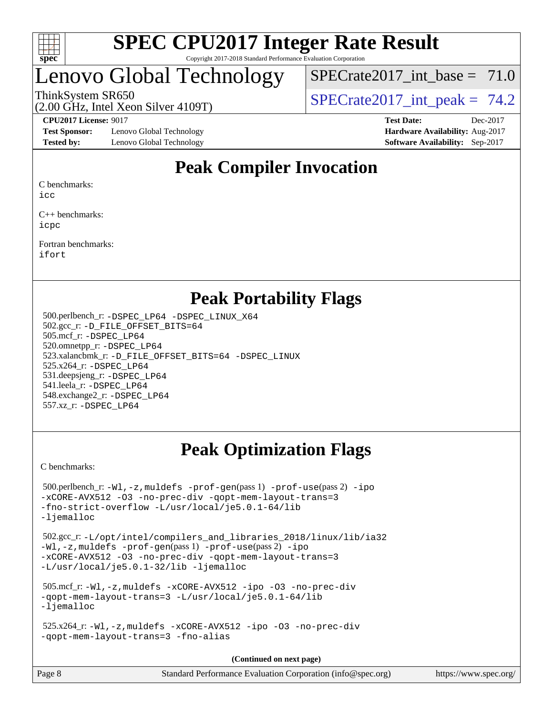

### Lenovo Global Technology

(2.00 GHz, Intel Xeon Silver 4109T)

SPECrate2017 int\_base =  $71.0$ 

ThinkSystem SR650<br>  $SPECTR_{12}$  SPECrate2017 int peak = 74.2

**[Test Sponsor:](http://www.spec.org/auto/cpu2017/Docs/result-fields.html#TestSponsor)** Lenovo Global Technology **[Hardware Availability:](http://www.spec.org/auto/cpu2017/Docs/result-fields.html#HardwareAvailability)** Aug-2017 **[Tested by:](http://www.spec.org/auto/cpu2017/Docs/result-fields.html#Testedby)** Lenovo Global Technology **[Software Availability:](http://www.spec.org/auto/cpu2017/Docs/result-fields.html#SoftwareAvailability)** Sep-2017

**[CPU2017 License:](http://www.spec.org/auto/cpu2017/Docs/result-fields.html#CPU2017License)** 9017 **[Test Date:](http://www.spec.org/auto/cpu2017/Docs/result-fields.html#TestDate)** Dec-2017

### **[Peak Compiler Invocation](http://www.spec.org/auto/cpu2017/Docs/result-fields.html#PeakCompilerInvocation)**

[C benchmarks:](http://www.spec.org/auto/cpu2017/Docs/result-fields.html#Cbenchmarks)

[icc](http://www.spec.org/cpu2017/results/res2018q1/cpu2017-20180105-02449.flags.html#user_CCpeak_intel_icc_18.0_66fc1ee009f7361af1fbd72ca7dcefbb700085f36577c54f309893dd4ec40d12360134090235512931783d35fd58c0460139e722d5067c5574d8eaf2b3e37e92)

[C++ benchmarks:](http://www.spec.org/auto/cpu2017/Docs/result-fields.html#CXXbenchmarks) [icpc](http://www.spec.org/cpu2017/results/res2018q1/cpu2017-20180105-02449.flags.html#user_CXXpeak_intel_icpc_18.0_c510b6838c7f56d33e37e94d029a35b4a7bccf4766a728ee175e80a419847e808290a9b78be685c44ab727ea267ec2f070ec5dc83b407c0218cded6866a35d07)

[Fortran benchmarks](http://www.spec.org/auto/cpu2017/Docs/result-fields.html#Fortranbenchmarks): [ifort](http://www.spec.org/cpu2017/results/res2018q1/cpu2017-20180105-02449.flags.html#user_FCpeak_intel_ifort_18.0_8111460550e3ca792625aed983ce982f94888b8b503583aa7ba2b8303487b4d8a21a13e7191a45c5fd58ff318f48f9492884d4413fa793fd88dd292cad7027ca)

### **[Peak Portability Flags](http://www.spec.org/auto/cpu2017/Docs/result-fields.html#PeakPortabilityFlags)**

 500.perlbench\_r: [-DSPEC\\_LP64](http://www.spec.org/cpu2017/results/res2018q1/cpu2017-20180105-02449.flags.html#b500.perlbench_r_peakPORTABILITY_DSPEC_LP64) [-DSPEC\\_LINUX\\_X64](http://www.spec.org/cpu2017/results/res2018q1/cpu2017-20180105-02449.flags.html#b500.perlbench_r_peakCPORTABILITY_DSPEC_LINUX_X64) 502.gcc\_r: [-D\\_FILE\\_OFFSET\\_BITS=64](http://www.spec.org/cpu2017/results/res2018q1/cpu2017-20180105-02449.flags.html#user_peakPORTABILITY502_gcc_r_file_offset_bits_64_5ae949a99b284ddf4e95728d47cb0843d81b2eb0e18bdfe74bbf0f61d0b064f4bda2f10ea5eb90e1dcab0e84dbc592acfc5018bc955c18609f94ddb8d550002c) 505.mcf\_r: [-DSPEC\\_LP64](http://www.spec.org/cpu2017/results/res2018q1/cpu2017-20180105-02449.flags.html#suite_peakPORTABILITY505_mcf_r_DSPEC_LP64) 520.omnetpp\_r: [-DSPEC\\_LP64](http://www.spec.org/cpu2017/results/res2018q1/cpu2017-20180105-02449.flags.html#suite_peakPORTABILITY520_omnetpp_r_DSPEC_LP64) 523.xalancbmk\_r: [-D\\_FILE\\_OFFSET\\_BITS=64](http://www.spec.org/cpu2017/results/res2018q1/cpu2017-20180105-02449.flags.html#user_peakPORTABILITY523_xalancbmk_r_file_offset_bits_64_5ae949a99b284ddf4e95728d47cb0843d81b2eb0e18bdfe74bbf0f61d0b064f4bda2f10ea5eb90e1dcab0e84dbc592acfc5018bc955c18609f94ddb8d550002c) [-DSPEC\\_LINUX](http://www.spec.org/cpu2017/results/res2018q1/cpu2017-20180105-02449.flags.html#b523.xalancbmk_r_peakCXXPORTABILITY_DSPEC_LINUX) 525.x264\_r: [-DSPEC\\_LP64](http://www.spec.org/cpu2017/results/res2018q1/cpu2017-20180105-02449.flags.html#suite_peakPORTABILITY525_x264_r_DSPEC_LP64) 531.deepsjeng\_r: [-DSPEC\\_LP64](http://www.spec.org/cpu2017/results/res2018q1/cpu2017-20180105-02449.flags.html#suite_peakPORTABILITY531_deepsjeng_r_DSPEC_LP64) 541.leela\_r: [-DSPEC\\_LP64](http://www.spec.org/cpu2017/results/res2018q1/cpu2017-20180105-02449.flags.html#suite_peakPORTABILITY541_leela_r_DSPEC_LP64) 548.exchange2\_r: [-DSPEC\\_LP64](http://www.spec.org/cpu2017/results/res2018q1/cpu2017-20180105-02449.flags.html#suite_peakPORTABILITY548_exchange2_r_DSPEC_LP64) 557.xz\_r: [-DSPEC\\_LP64](http://www.spec.org/cpu2017/results/res2018q1/cpu2017-20180105-02449.flags.html#suite_peakPORTABILITY557_xz_r_DSPEC_LP64)

### **[Peak Optimization Flags](http://www.spec.org/auto/cpu2017/Docs/result-fields.html#PeakOptimizationFlags)**

[C benchmarks](http://www.spec.org/auto/cpu2017/Docs/result-fields.html#Cbenchmarks):

```
 500.perlbench_r: -Wl,-z,muldefs -prof-gen(pass 1) -prof-use(pass 2) -ipo
-xCORE-AVX512 -O3 -no-prec-div -qopt-mem-layout-trans=3
-fno-strict-overflow -L/usr/local/je5.0.1-64/lib
-ljemalloc
 502.gcc_r: -L/opt/intel/compilers_and_libraries_2018/linux/lib/ia32
-Wl,-z,muldefs -prof-gen(pass 1) -prof-use(pass 2) -ipo
-xCORE-AVX512 -O3 -no-prec-div -qopt-mem-layout-trans=3
-L/usr/local/je5.0.1-32/lib -ljemalloc
 505.mcf_r: -Wl,-z,muldefs -xCORE-AVX512 -ipo -O3 -no-prec-div
-qopt-mem-layout-trans=3 -L/usr/local/je5.0.1-64/lib
-ljemalloc
 525.x264_r: -Wl,-z,muldefs -xCORE-AVX512 -ipo -O3 -no-prec-div
-qopt-mem-layout-trans=3 -fno-alias
                                     (Continued on next page)
```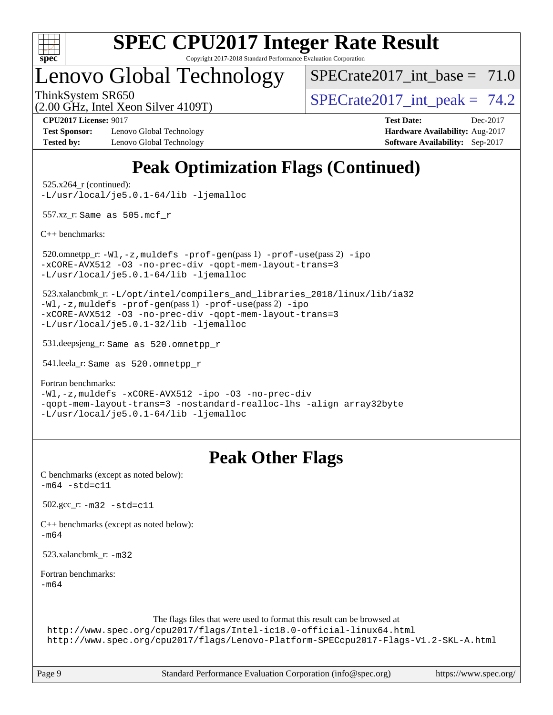

Copyright 2017-2018 Standard Performance Evaluation Corporation

### Lenovo Global Technology

SPECrate2017 int\_base =  $71.0$ 

ThinkSystem SR650<br>  $SPECTR_{12}$  SPECrate2017 int peak = 74.2

(2.00 GHz, Intel Xeon Silver 4109T)

**[Test Sponsor:](http://www.spec.org/auto/cpu2017/Docs/result-fields.html#TestSponsor)** Lenovo Global Technology **[Hardware Availability:](http://www.spec.org/auto/cpu2017/Docs/result-fields.html#HardwareAvailability)** Aug-2017 **[Tested by:](http://www.spec.org/auto/cpu2017/Docs/result-fields.html#Testedby)** Lenovo Global Technology **[Software Availability:](http://www.spec.org/auto/cpu2017/Docs/result-fields.html#SoftwareAvailability)** Sep-2017

**[CPU2017 License:](http://www.spec.org/auto/cpu2017/Docs/result-fields.html#CPU2017License)** 9017 **[Test Date:](http://www.spec.org/auto/cpu2017/Docs/result-fields.html#TestDate)** Dec-2017

### **[Peak Optimization Flags \(Continued\)](http://www.spec.org/auto/cpu2017/Docs/result-fields.html#PeakOptimizationFlags)**

 525.x264\_r (continued): [-L/usr/local/je5.0.1-64/lib](http://www.spec.org/cpu2017/results/res2018q1/cpu2017-20180105-02449.flags.html#user_peakEXTRA_LIBS525_x264_r_jemalloc_link_path64_4b10a636b7bce113509b17f3bd0d6226c5fb2346b9178c2d0232c14f04ab830f976640479e5c33dc2bcbbdad86ecfb6634cbbd4418746f06f368b512fced5394) [-ljemalloc](http://www.spec.org/cpu2017/results/res2018q1/cpu2017-20180105-02449.flags.html#user_peakEXTRA_LIBS525_x264_r_jemalloc_link_lib_d1249b907c500fa1c0672f44f562e3d0f79738ae9e3c4a9c376d49f265a04b9c99b167ecedbf6711b3085be911c67ff61f150a17b3472be731631ba4d0471706)

557.xz\_r: Same as 505.mcf\_r

[C++ benchmarks:](http://www.spec.org/auto/cpu2017/Docs/result-fields.html#CXXbenchmarks)

 520.omnetpp\_r: [-Wl,-z,muldefs](http://www.spec.org/cpu2017/results/res2018q1/cpu2017-20180105-02449.flags.html#user_peakEXTRA_LDFLAGS520_omnetpp_r_link_force_multiple1_b4cbdb97b34bdee9ceefcfe54f4c8ea74255f0b02a4b23e853cdb0e18eb4525ac79b5a88067c842dd0ee6996c24547a27a4b99331201badda8798ef8a743f577) [-prof-gen](http://www.spec.org/cpu2017/results/res2018q1/cpu2017-20180105-02449.flags.html#user_peakPASS1_CXXFLAGSPASS1_LDFLAGS520_omnetpp_r_prof_gen_5aa4926d6013ddb2a31985c654b3eb18169fc0c6952a63635c234f711e6e63dd76e94ad52365559451ec499a2cdb89e4dc58ba4c67ef54ca681ffbe1461d6b36)(pass 1) [-prof-use](http://www.spec.org/cpu2017/results/res2018q1/cpu2017-20180105-02449.flags.html#user_peakPASS2_CXXFLAGSPASS2_LDFLAGS520_omnetpp_r_prof_use_1a21ceae95f36a2b53c25747139a6c16ca95bd9def2a207b4f0849963b97e94f5260e30a0c64f4bb623698870e679ca08317ef8150905d41bd88c6f78df73f19)(pass 2) [-ipo](http://www.spec.org/cpu2017/results/res2018q1/cpu2017-20180105-02449.flags.html#user_peakPASS1_CXXOPTIMIZEPASS2_CXXOPTIMIZE520_omnetpp_r_f-ipo) [-xCORE-AVX512](http://www.spec.org/cpu2017/results/res2018q1/cpu2017-20180105-02449.flags.html#user_peakPASS2_CXXOPTIMIZE520_omnetpp_r_f-xCORE-AVX512) [-O3](http://www.spec.org/cpu2017/results/res2018q1/cpu2017-20180105-02449.flags.html#user_peakPASS1_CXXOPTIMIZEPASS2_CXXOPTIMIZE520_omnetpp_r_f-O3) [-no-prec-div](http://www.spec.org/cpu2017/results/res2018q1/cpu2017-20180105-02449.flags.html#user_peakPASS1_CXXOPTIMIZEPASS2_CXXOPTIMIZE520_omnetpp_r_f-no-prec-div) [-qopt-mem-layout-trans=3](http://www.spec.org/cpu2017/results/res2018q1/cpu2017-20180105-02449.flags.html#user_peakPASS1_CXXOPTIMIZEPASS2_CXXOPTIMIZE520_omnetpp_r_f-qopt-mem-layout-trans_de80db37974c74b1f0e20d883f0b675c88c3b01e9d123adea9b28688d64333345fb62bc4a798493513fdb68f60282f9a726aa07f478b2f7113531aecce732043) [-L/usr/local/je5.0.1-64/lib](http://www.spec.org/cpu2017/results/res2018q1/cpu2017-20180105-02449.flags.html#user_peakEXTRA_LIBS520_omnetpp_r_jemalloc_link_path64_4b10a636b7bce113509b17f3bd0d6226c5fb2346b9178c2d0232c14f04ab830f976640479e5c33dc2bcbbdad86ecfb6634cbbd4418746f06f368b512fced5394) [-ljemalloc](http://www.spec.org/cpu2017/results/res2018q1/cpu2017-20180105-02449.flags.html#user_peakEXTRA_LIBS520_omnetpp_r_jemalloc_link_lib_d1249b907c500fa1c0672f44f562e3d0f79738ae9e3c4a9c376d49f265a04b9c99b167ecedbf6711b3085be911c67ff61f150a17b3472be731631ba4d0471706)

 523.xalancbmk\_r: [-L/opt/intel/compilers\\_and\\_libraries\\_2018/linux/lib/ia32](http://www.spec.org/cpu2017/results/res2018q1/cpu2017-20180105-02449.flags.html#user_peakCXXLD523_xalancbmk_r_Enable-32bit-runtime_af243bdb1d79e4c7a4f720bf8275e627de2ecd461de63307bc14cef0633fde3cd7bb2facb32dcc8be9566045fb55d40ce2b72b725f73827aa7833441b71b9343) [-Wl,-z,muldefs](http://www.spec.org/cpu2017/results/res2018q1/cpu2017-20180105-02449.flags.html#user_peakEXTRA_LDFLAGS523_xalancbmk_r_link_force_multiple1_b4cbdb97b34bdee9ceefcfe54f4c8ea74255f0b02a4b23e853cdb0e18eb4525ac79b5a88067c842dd0ee6996c24547a27a4b99331201badda8798ef8a743f577) [-prof-gen](http://www.spec.org/cpu2017/results/res2018q1/cpu2017-20180105-02449.flags.html#user_peakPASS1_CXXFLAGSPASS1_LDFLAGS523_xalancbmk_r_prof_gen_5aa4926d6013ddb2a31985c654b3eb18169fc0c6952a63635c234f711e6e63dd76e94ad52365559451ec499a2cdb89e4dc58ba4c67ef54ca681ffbe1461d6b36)(pass 1) [-prof-use](http://www.spec.org/cpu2017/results/res2018q1/cpu2017-20180105-02449.flags.html#user_peakPASS2_CXXFLAGSPASS2_LDFLAGS523_xalancbmk_r_prof_use_1a21ceae95f36a2b53c25747139a6c16ca95bd9def2a207b4f0849963b97e94f5260e30a0c64f4bb623698870e679ca08317ef8150905d41bd88c6f78df73f19)(pass 2) [-ipo](http://www.spec.org/cpu2017/results/res2018q1/cpu2017-20180105-02449.flags.html#user_peakPASS1_CXXOPTIMIZEPASS2_CXXOPTIMIZE523_xalancbmk_r_f-ipo) [-xCORE-AVX512](http://www.spec.org/cpu2017/results/res2018q1/cpu2017-20180105-02449.flags.html#user_peakPASS2_CXXOPTIMIZE523_xalancbmk_r_f-xCORE-AVX512) [-O3](http://www.spec.org/cpu2017/results/res2018q1/cpu2017-20180105-02449.flags.html#user_peakPASS1_CXXOPTIMIZEPASS2_CXXOPTIMIZE523_xalancbmk_r_f-O3) [-no-prec-div](http://www.spec.org/cpu2017/results/res2018q1/cpu2017-20180105-02449.flags.html#user_peakPASS1_CXXOPTIMIZEPASS2_CXXOPTIMIZE523_xalancbmk_r_f-no-prec-div) [-qopt-mem-layout-trans=3](http://www.spec.org/cpu2017/results/res2018q1/cpu2017-20180105-02449.flags.html#user_peakPASS1_CXXOPTIMIZEPASS2_CXXOPTIMIZE523_xalancbmk_r_f-qopt-mem-layout-trans_de80db37974c74b1f0e20d883f0b675c88c3b01e9d123adea9b28688d64333345fb62bc4a798493513fdb68f60282f9a726aa07f478b2f7113531aecce732043) [-L/usr/local/je5.0.1-32/lib](http://www.spec.org/cpu2017/results/res2018q1/cpu2017-20180105-02449.flags.html#user_peakEXTRA_LIBS523_xalancbmk_r_jemalloc_link_path32_e29f22e8e6c17053bbc6a0971f5a9c01a601a06bb1a59df2084b77a2fe0a2995b64fd4256feaeea39eeba3aae142e96e2b2b0a28974019c0c0c88139a84f900a) [-ljemalloc](http://www.spec.org/cpu2017/results/res2018q1/cpu2017-20180105-02449.flags.html#user_peakEXTRA_LIBS523_xalancbmk_r_jemalloc_link_lib_d1249b907c500fa1c0672f44f562e3d0f79738ae9e3c4a9c376d49f265a04b9c99b167ecedbf6711b3085be911c67ff61f150a17b3472be731631ba4d0471706)

531.deepsjeng\_r: Same as 520.omnetpp\_r

541.leela\_r: Same as 520.omnetpp\_r

[Fortran benchmarks](http://www.spec.org/auto/cpu2017/Docs/result-fields.html#Fortranbenchmarks):

[-Wl,-z,muldefs](http://www.spec.org/cpu2017/results/res2018q1/cpu2017-20180105-02449.flags.html#user_FCpeak_link_force_multiple1_b4cbdb97b34bdee9ceefcfe54f4c8ea74255f0b02a4b23e853cdb0e18eb4525ac79b5a88067c842dd0ee6996c24547a27a4b99331201badda8798ef8a743f577) [-xCORE-AVX512](http://www.spec.org/cpu2017/results/res2018q1/cpu2017-20180105-02449.flags.html#user_FCpeak_f-xCORE-AVX512) [-ipo](http://www.spec.org/cpu2017/results/res2018q1/cpu2017-20180105-02449.flags.html#user_FCpeak_f-ipo) [-O3](http://www.spec.org/cpu2017/results/res2018q1/cpu2017-20180105-02449.flags.html#user_FCpeak_f-O3) [-no-prec-div](http://www.spec.org/cpu2017/results/res2018q1/cpu2017-20180105-02449.flags.html#user_FCpeak_f-no-prec-div) [-qopt-mem-layout-trans=3](http://www.spec.org/cpu2017/results/res2018q1/cpu2017-20180105-02449.flags.html#user_FCpeak_f-qopt-mem-layout-trans_de80db37974c74b1f0e20d883f0b675c88c3b01e9d123adea9b28688d64333345fb62bc4a798493513fdb68f60282f9a726aa07f478b2f7113531aecce732043) [-nostandard-realloc-lhs](http://www.spec.org/cpu2017/results/res2018q1/cpu2017-20180105-02449.flags.html#user_FCpeak_f_2003_std_realloc_82b4557e90729c0f113870c07e44d33d6f5a304b4f63d4c15d2d0f1fab99f5daaed73bdb9275d9ae411527f28b936061aa8b9c8f2d63842963b95c9dd6426b8a) [-align array32byte](http://www.spec.org/cpu2017/results/res2018q1/cpu2017-20180105-02449.flags.html#user_FCpeak_align_array32byte_b982fe038af199962ba9a80c053b8342c548c85b40b8e86eb3cc33dee0d7986a4af373ac2d51c3f7cf710a18d62fdce2948f201cd044323541f22fc0fffc51b6) [-L/usr/local/je5.0.1-64/lib](http://www.spec.org/cpu2017/results/res2018q1/cpu2017-20180105-02449.flags.html#user_FCpeak_jemalloc_link_path64_4b10a636b7bce113509b17f3bd0d6226c5fb2346b9178c2d0232c14f04ab830f976640479e5c33dc2bcbbdad86ecfb6634cbbd4418746f06f368b512fced5394) [-ljemalloc](http://www.spec.org/cpu2017/results/res2018q1/cpu2017-20180105-02449.flags.html#user_FCpeak_jemalloc_link_lib_d1249b907c500fa1c0672f44f562e3d0f79738ae9e3c4a9c376d49f265a04b9c99b167ecedbf6711b3085be911c67ff61f150a17b3472be731631ba4d0471706)

### **[Peak Other Flags](http://www.spec.org/auto/cpu2017/Docs/result-fields.html#PeakOtherFlags)**

| C benchmarks (except as noted below):<br>$-m64 - std = c11$                                                                                                                                                                           |
|---------------------------------------------------------------------------------------------------------------------------------------------------------------------------------------------------------------------------------------|
| $502.\text{gcc}_r$ : $-m32 - std = c11$                                                                                                                                                                                               |
| $C++$ benchmarks (except as noted below):<br>$-m64$                                                                                                                                                                                   |
| 523.xalancbmk $r: -m32$                                                                                                                                                                                                               |
| Fortran benchmarks:<br>$-m64$                                                                                                                                                                                                         |
| The flags files that were used to format this result can be browsed at<br>http://www.spec.org/cpu2017/flags/Intel-ic18.0-official-linux64.html<br>http://www.spec.org/cpu2017/flags/Lenovo-Platform-SPECcpu2017-Flags-V1.2-SKL-A.html |